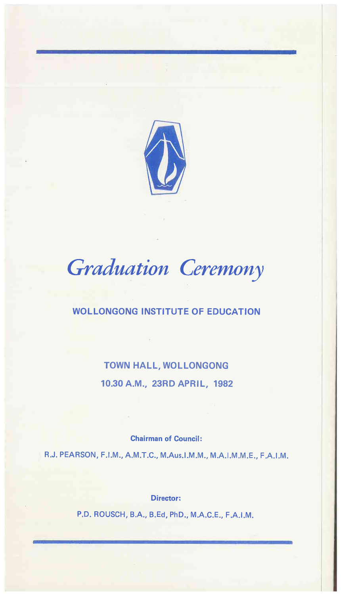

# *Graduation Ceremony*

# WOLLONGONG INSTITUTE OF EDUCATION

TOWN HALL, WOLLONGONG 10.30 A.M., 23RD APRIL, 1982

Chairman of Council:

R.J. PEARSON, F.I.M., A.M.T.C., M.Aus.I.M.M., M.A.I.M.M.E., F.A.I.M.

Director:

P.D. ROUSCH, BA, B.Ed, PhD., M.A.C.E., F.A.I.M.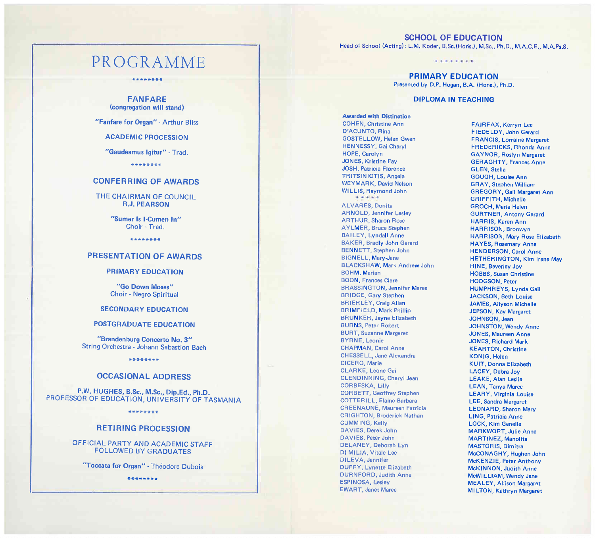# PROGRAMME

**\*\*\*\*\*\*\*\*** 

**FANFARE**  (congregation will stand)

"Fanfare for Organ" - Arthur Bliss

ACADEMIC PROCESSION

"Gaudeamus Igitur" - Trad.

**\*\*\*\*\*\*\*\*** 

### **CONFERRING OF AWARDS**

THE CHAIRMAN OF COUNCIL R.J. PEARSON

> "Sumer Is I-Cumen In" Choir - Trad.

> > **\*\*\*\*\*\*\*\***

#### **PRESENTATION OF AWARDS**

#### PRIMARY EDUCATION

"Go Down Moses" Choir - Negro Spiritual

#### SECONDARY EDUCATION

#### POSTGRADUATE EDUCATION

"Brandenburg Concerto No. 3" String Orchestra - Johann Sebastion Bach

**\*\*\*\*\*\*\*\*** 

#### **OCCASIONAL ADDRESS**

P.W. HUGHES, B.Sc., M.Sc., Dip.Ed., Ph.D. PROFESSOR OF EDUCATION, UNIVERSITY OF TASMANIA

**\*\*\*\*\*\*\*\*** 

#### **RETIRING PROCESSION**

OFFICIAL PARTY AND ACADEMIC STAFF FOLLOWED BY GRADUATES

"Toccata for Organ" - Theodore Dubois

**\*\*\*\*\*\*\*\*** 

## **SCHOOL OF EDUCATION**

Head of School (Acting): L.M. Koder, B.Sc.(Horis.), M.Sc., Ph.D., M.A.C.E., M.A.Ps.S.

Jt .. \* \* ......

**PRIMARY EDUCATION**  Presented by D.P. Hogan, B.A. (Hons.), Ph.D.

#### DIPLOMA **IN** TEACHING

Awarded with Distinction COHEN, Christine Ann D'ACUNTO, Rina GOSTELLOW, Helen Gwen HENNESSY, Gai Cheryl HOPE, Carolyn JONES, Kristine Fay JOSH, Patricia Florence TRITSINIOTlS, Angela WEYMARK, David Nelson WILLIS, Raymond John

ALVARES, Donita AR NOLD, Jennifer Lesley ARTHUR, Sharon Rose AYLMER, Bruce Stephen BAILEY, Lyndall Anne BAKER, Bradly John Gerard BE NNETT, Stephen John BIGNELL, Mary-Jane BLACKSHAW, Mark Andrew John **BOHM, Marian** BOON, Frances Clare **BRASSINGTON, Jennifer Maree** BRIDGE, Gary Stephen BRIERLEY, Craig Allan BRIMFIELD, Mark Phillip BRUNKER, Jayne Elizabeth **BURNS, Peter Robert** BURT, Suzanne Margaret BYRNE, Leonie CHAPMAN, Carol Anne CHESSELL, Jane Alexandra CICERO, Maria CLARKE, Leone Gai CLENDINNING, Cheryl Jean CORBESKA, Lilly CORBETT, Geoffrey Stephen COTTERILL, Elalne Barbara CREENAUNE, Maureen Patricia CRIGHTON, Broderick Nathan CUMMING, Kelly DAVIES, Derek John DAVIES, Peter John DELANEY, Deborah Lyn 01 MILIA, Vitale Lee DILEVA, Jennifer DUFFY, Lynette Elizabeth DURNFORD, Judith Anne ESPINOSA, Lesley EWART, Janet Maree

FAIRFAX, Kerryn Lee FIEDELDY, John Gerard FRANCIS, Lorraine Margaret FREDERICKS, Rhonda Anne GA YNOR, Roslyn Margaret GERAGHTY, Frances Anne GLEN, Stella GOUGH, Louise Ann GRAY, Stephen William GREGORY, Gail Margaret Ann GRIFFITH, Michelle GROCH, Maria Helen GURTNER, Antony Gerard HARRIS, Karen Ann HARRISON, Bronwyn HARRISON, Mary Rose Elizabeth HA YES, Rosemary Anne HENDERSON, Carol Anne HETHERINGTON, Kim Irene May HINE, Beverley Joy HOBBS, Susan Christine HODGSON, Peter HUMPHREYS, Lynda Gail JACKSON, Beth Louise JAMES, Allyson Michelle JEPSON, Kay Margaret JOHNSON, Jean JOHNSTON, Wendy Anne JONES, Maureen Anne JONES, Richard Mark KEARTON, Christine KONIG, Helen KUIT, Donna Elizabeth LACEY, Debra Joy LEAKE, Alan Leslie LEAN, Tanya Maree LEARY, Virginia Louise LEE, Sandra Margaret LEONARD, Sharon Mary LING, Patricia Anne LOCK, Kim Genelle MARKWORT, Julie Anne MARTlNEZ, Manolita MASTORIS, Dimitra McCONAGHY, Hughen John McKENZIE, Peter Anthony McKINNON, Judith Anne McWILLlAM, Wendy Jane MEALEY, Allison Margaret MILTON, Kathryn Margaret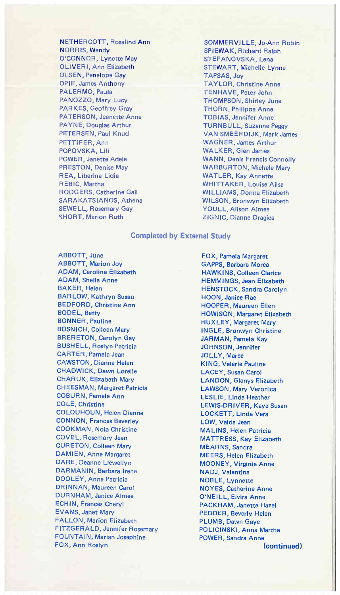**NETHERCOTT, Rosalind Ann** NORRIS, Wendy O'CONNOR, Lynette May OLIVERI, Ann Elizabeth OLSEN, Penelope Gav OPIE, James Anthony PALERMO, Paula PANOZZO, Mary Lucy PARKES, Geoffrey Gray PATERSON, Jeanette Anne PAYNE, Douglas Arthur PETERSEN, Paul Knud PETTlFER, Ann POPOVSKA, Lili POWER, Janette Adele PRESTON, Denise May REA, Liberina Lidia REBIC, Martha RODGERS, Catherine GaH SARAKATSIANOS, Athena SEWELL, Rosemary Gay SHORT, Marion Ruth

SOMMER VILLE, Jo-Ann Robin SPIEWAK, Richard Ralph STEFANOVSKA, Lena STEWART, Michelle Lynne TAPSAS, Joy TAYLOR, Christine Anne TENHAVE, Peter John THOMPSON, Shirley June THORN, Philippa Anne TOBIAS, Jennifer Anne TURN BULL, Suzanne Peggy VAN SMEERDIJK, Mark James WAGNER, James Arthur WALKER, Glen James WANN, Denis Francis Connolly WARBURTON, Michele Mary WATLER, Kay Annette WHITTAKER, Louise Ailsa WILLlAMS, Donna Elizabeth WILSON, Bronwyn Elizabeth YOULL, Alison Aimee ZIGNIC, Dianne Dragica

#### **Completed by External Study**

ABBOTT, June ABBOTT, Marion Joy ADAM, Caroline Elizabeth ADAM, Sheila Anne BAKER, Helen BAR LOW, Kathryn Susan BEDFORD, Christine Ann BODEl, Betty BONNER, Pauline BOSNICH, Colleen Mary BRERETON, Carolyn Gay BUSHELL, Roslyn Patricia CARTER, Pamela Jean CAWSTON, Dianne Helen CHADWICK, Dawn Lorelle CHARUK, Elizabeth Mary CHEESMAN, Margaret Patricia COBURN, Pamela Ann COLE, Christine COLQUHOUN, Helen Dianne CONNON, Frances Beverley COOKMAN, Nola Christine COVEL, Rosemary Jean CURETON, Colleen Mary DAMIEN, Anne Margaret DARE, Deanne Llewellyn DARMANIN, Barbara Irene DOOLEY, Anne Patricia DRINNAN, Maureen Carol DURNHAM, Janice Aimee ECHIN, Frances Cheryl EVANS, Janet Mary FAllON, Marion Elizabeth FITZGERALD, Jennifer Rosemary FOUNTAIN, Marian Josephine FOX, Ann Roslyn

FOX, Pamela Margaret GAPPS, Barbara Morea HAWKINS, Colleen Clarice HEMMINGS, Jean Elizabeth HENSTOCK, Sandra Carolyn HOON, Janice Rae HOOPER, Maureen Ellen HOWISON, Margaret Elizabeth HUXLEY, Margaret Mary INGLE, Bronwyn Christine JARMAN, Pamela Kay JOHNSON, Jennifer JOLLY, Maree KING, Valerie Pauline lACEY, Susan Carol LANDON, Glenys Elizabeth LAWSON, Mary Veronica LESLlE, Linda Heather LEWIS-DRIVER, Kaye Susan LOCKETT, Linda Vera LOW, Valda Jean MALlNS, Helen Patricia MATTRESS, Kay Elizabeth MEARNS, Sandra MEERS, Helen Elizabeth MOONEY, Virginia Anne NADJ, Valentina NOBLE, Lynnette NOYES, Catherine Anne O'NEILL, Elvira Anne PACKHAM, Janette Hazel PEDDER, Beverly Helen PLUMB, Dawn Gaye POLlCINSKI, Anna Martha POWER, Sandra Anne **(continued)**